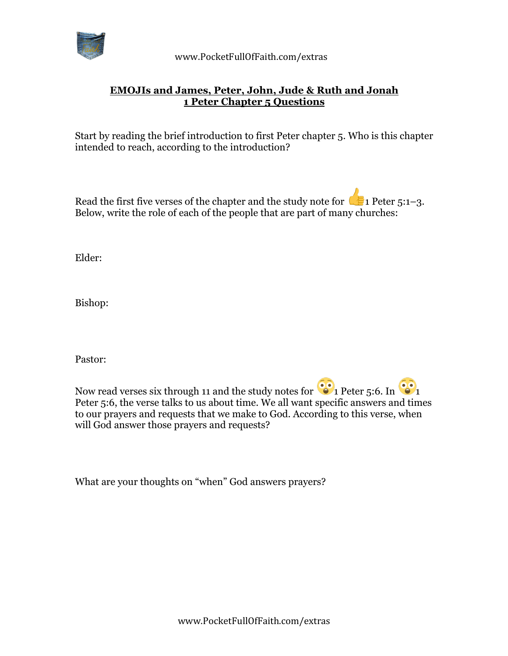

## **EMOJIs and James, Peter, John, Jude & Ruth and Jonah 1 Peter Chapter 5 Questions**

Start by reading the brief introduction to first Peter chapter 5. Who is this chapter intended to reach, according to the introduction?

Read the first five verses of the chapter and the study note for  $\Box$  Peter 5:1–3. Below, write the role of each of the people that are part of many churches:

Elder:

Bishop:

Pastor:

Now read verses six through 11 and the study notes for  $\frac{1}{1}$  Peter 5:6. In  $\frac{1}{1}$ Peter 5:6, the verse talks to us about time. We all want specific answers and times to our prayers and requests that we make to God. According to this verse, when will God answer those prayers and requests?

What are your thoughts on "when" God answers prayers?